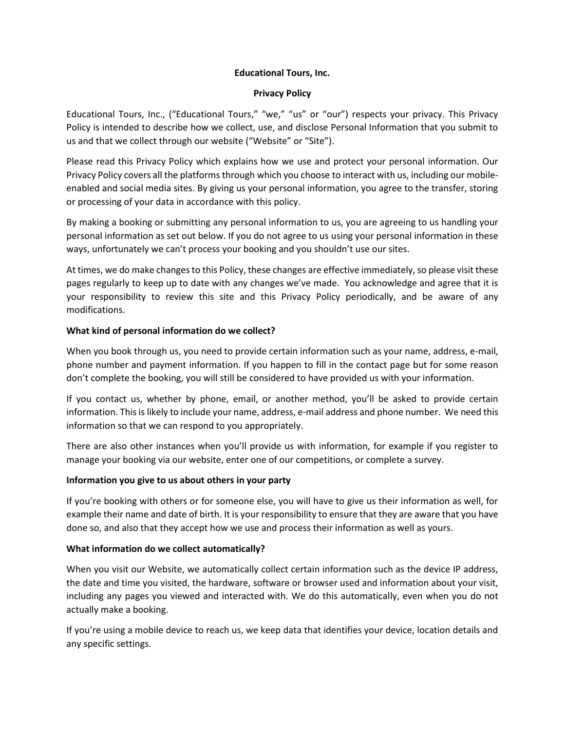# **Educational Tours, Inc.**

# **Privacy Policy**

Educational Tours, Inc., ("Educational Tours," "we," "us" or "our") respects your privacy. This Privacy Policy is intended to describe how we collect, use, and disclose Personal Information that you submit to us and that we collect through our website ("Website" or "Site").

Please read this Privacy Policy which explains how we use and protect your personal information. Our Privacy Policy covers all the platforms through which you choose to interact with us, including our mobileenabled and social media sites. By giving us your personal information, you agree to the transfer, storing or processing of your data in accordance with this policy.

By making a booking or submitting any personal information to us, you are agreeing to us handling your personal information as set out below. If you do not agree to us using your personal information in these ways, unfortunately we can't process your booking and you shouldn't use our sites.

At times, we do make changes to this Policy, these changes are effective immediately, so please visit these pages regularly to keep up to date with any changes we've made. You acknowledge and agree that it is your responsibility to review this site and this Privacy Policy periodically, and be aware of any modifications.

# **What kind of personal information do we collect?**

When you book through us, you need to provide certain information such as your name, address, e-mail, phone number and payment information. If you happen to fill in the contact page but for some reason don't complete the booking, you will still be considered to have provided us with your information.

If you contact us, whether by phone, email, or another method, you'll be asked to provide certain information. This is likely to include your name, address, e-mail address and phone number. We need this information so that we can respond to you appropriately.

There are also other instances when you'll provide us with information, for example if you register to manage your booking via our website, enter one of our competitions, or complete a survey.

# **Information you give to us about others in your party**

If you're booking with others or for someone else, you will have to give us their information as well, for example their name and date of birth. It is your responsibility to ensure that they are aware that you have done so, and also that they accept how we use and process their information as well as yours.

## **What information do we collect automatically?**

When you visit our Website, we automatically collect certain information such as the device IP address, the date and time you visited, the hardware, software or browser used and information about your visit, including any pages you viewed and interacted with. We do this automatically, even when you do not actually make a booking.

If you're using a mobile device to reach us, we keep data that identifies your device, location details and any specific settings.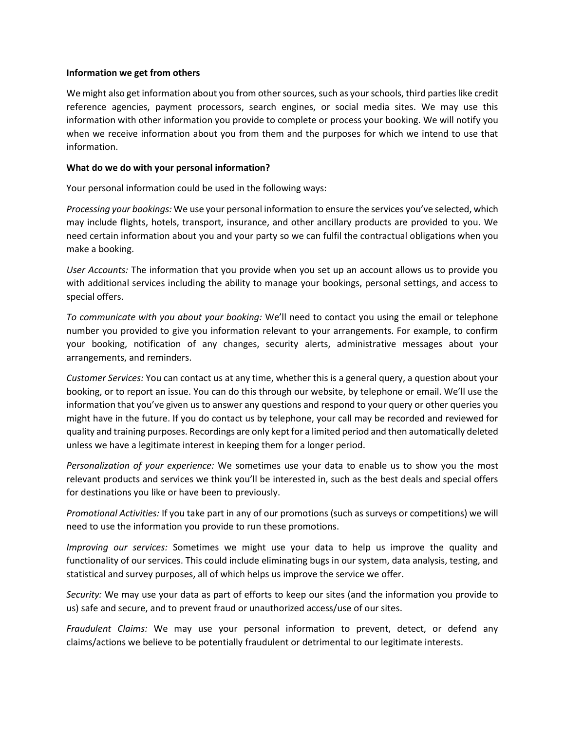#### **Information we get from others**

We might also get information about you from other sources, such as your schools, third parties like credit reference agencies, payment processors, search engines, or social media sites. We may use this information with other information you provide to complete or process your booking. We will notify you when we receive information about you from them and the purposes for which we intend to use that information.

## **What do we do with your personal information?**

Your personal information could be used in the following ways:

*Processing your bookings:* We use your personal information to ensure the services you've selected, which may include flights, hotels, transport, insurance, and other ancillary products are provided to you. We need certain information about you and your party so we can fulfil the contractual obligations when you make a booking.

*User Accounts:* The information that you provide when you set up an account allows us to provide you with additional services including the ability to manage your bookings, personal settings, and access to special offers.

*To communicate with you about your booking:* We'll need to contact you using the email or telephone number you provided to give you information relevant to your arrangements. For example, to confirm your booking, notification of any changes, security alerts, administrative messages about your arrangements, and reminders.

*Customer Services:* You can contact us at any time, whether this is a general query, a question about your booking, or to report an issue. You can do this through our website, by telephone or email. We'll use the information that you've given us to answer any questions and respond to your query or other queries you might have in the future. If you do contact us by telephone, your call may be recorded and reviewed for quality and training purposes. Recordings are only kept for a limited period and then automatically deleted unless we have a legitimate interest in keeping them for a longer period.

*Personalization of your experience:* We sometimes use your data to enable us to show you the most relevant products and services we think you'll be interested in, such as the best deals and special offers for destinations you like or have been to previously.

*Promotional Activities:* If you take part in any of our promotions (such as surveys or competitions) we will need to use the information you provide to run these promotions.

*Improving our services:* Sometimes we might use your data to help us improve the quality and functionality of our services. This could include eliminating bugs in our system, data analysis, testing, and statistical and survey purposes, all of which helps us improve the service we offer.

*Security:* We may use your data as part of efforts to keep our sites (and the information you provide to us) safe and secure, and to prevent fraud or unauthorized access/use of our sites.

*Fraudulent Claims:* We may use your personal information to prevent, detect, or defend any claims/actions we believe to be potentially fraudulent or detrimental to our legitimate interests.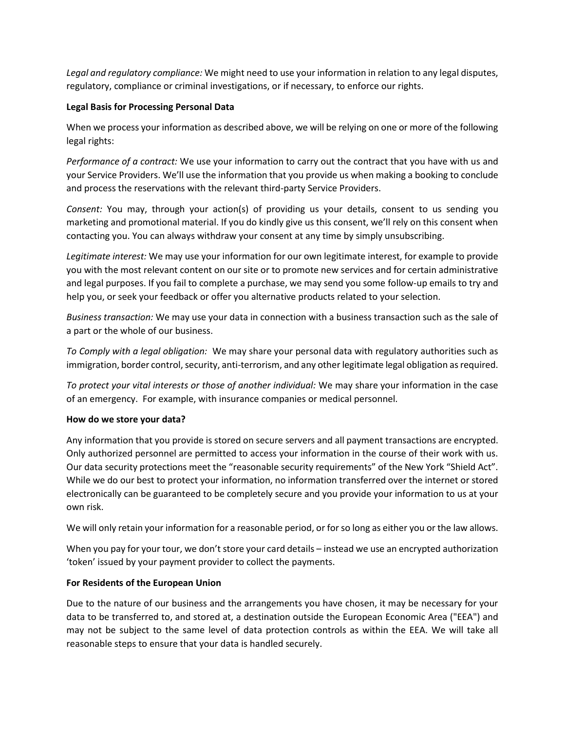*Legal and regulatory compliance:* We might need to use your information in relation to any legal disputes, regulatory, compliance or criminal investigations, or if necessary, to enforce our rights.

# **Legal Basis for Processing Personal Data**

When we process your information as described above, we will be relying on one or more of the following legal rights:

*Performance of a contract:* We use your information to carry out the contract that you have with us and your Service Providers. We'll use the information that you provide us when making a booking to conclude and process the reservations with the relevant third-party Service Providers.

*Consent:* You may, through your action(s) of providing us your details, consent to us sending you marketing and promotional material. If you do kindly give us this consent, we'll rely on this consent when contacting you. You can always withdraw your consent at any time by simply unsubscribing.

*Legitimate interest:* We may use your information for our own legitimate interest, for example to provide you with the most relevant content on our site or to promote new services and for certain administrative and legal purposes. If you fail to complete a purchase, we may send you some follow-up emails to try and help you, or seek your feedback or offer you alternative products related to your selection.

*Business transaction:* We may use your data in connection with a business transaction such as the sale of a part or the whole of our business.

*To Comply with a legal obligation:* We may share your personal data with regulatory authorities such as immigration, border control, security, anti-terrorism, and any other legitimate legal obligation as required.

*To protect your vital interests or those of another individual:* We may share your information in the case of an emergency. For example, with insurance companies or medical personnel.

## **How do we store your data?**

Any information that you provide is stored on secure servers and all payment transactions are encrypted. Only authorized personnel are permitted to access your information in the course of their work with us. Our data security protections meet the "reasonable security requirements" of the New York "Shield Act". While we do our best to protect your information, no information transferred over the internet or stored electronically can be guaranteed to be completely secure and you provide your information to us at your own risk.

We will only retain your information for a reasonable period, or for so long as either you or the law allows.

When you pay for your tour, we don't store your card details – instead we use an encrypted authorization 'token' issued by your payment provider to collect the payments.

## **For Residents of the European Union**

Due to the nature of our business and the arrangements you have chosen, it may be necessary for your data to be transferred to, and stored at, a destination outside the European Economic Area ("EEA") and may not be subject to the same level of data protection controls as within the EEA. We will take all reasonable steps to ensure that your data is handled securely.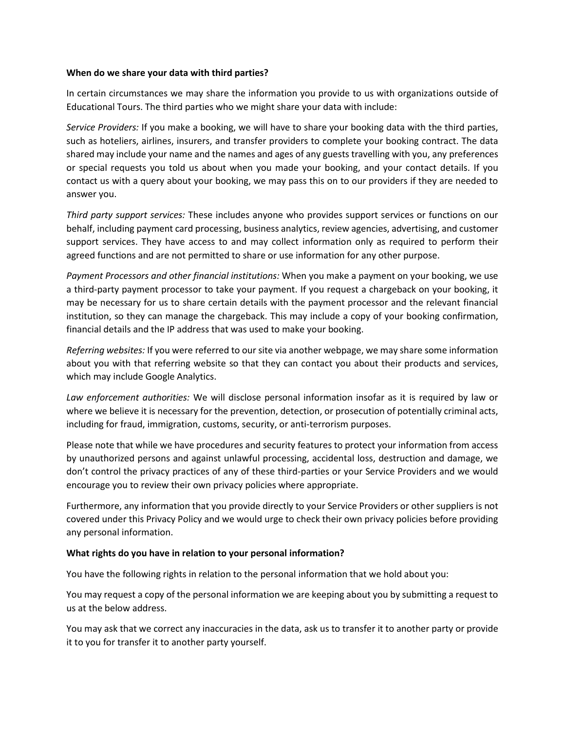#### **When do we share your data with third parties?**

In certain circumstances we may share the information you provide to us with organizations outside of Educational Tours. The third parties who we might share your data with include:

*Service Providers:* If you make a booking, we will have to share your booking data with the third parties, such as hoteliers, airlines, insurers, and transfer providers to complete your booking contract. The data shared may include your name and the names and ages of any guests travelling with you, any preferences or special requests you told us about when you made your booking, and your contact details. If you contact us with a query about your booking, we may pass this on to our providers if they are needed to answer you.

*Third party support services:* These includes anyone who provides support services or functions on our behalf, including payment card processing, business analytics, review agencies, advertising, and customer support services. They have access to and may collect information only as required to perform their agreed functions and are not permitted to share or use information for any other purpose.

*Payment Processors and other financial institutions:* When you make a payment on your booking, we use a third-party payment processor to take your payment. If you request a chargeback on your booking, it may be necessary for us to share certain details with the payment processor and the relevant financial institution, so they can manage the chargeback. This may include a copy of your booking confirmation, financial details and the IP address that was used to make your booking.

*Referring websites:* If you were referred to our site via another webpage, we may share some information about you with that referring website so that they can contact you about their products and services, which may include Google Analytics.

*Law enforcement authorities:* We will disclose personal information insofar as it is required by law or where we believe it is necessary for the prevention, detection, or prosecution of potentially criminal acts, including for fraud, immigration, customs, security, or anti-terrorism purposes.

Please note that while we have procedures and security features to protect your information from access by unauthorized persons and against unlawful processing, accidental loss, destruction and damage, we don't control the privacy practices of any of these third-parties or your Service Providers and we would encourage you to review their own privacy policies where appropriate.

Furthermore, any information that you provide directly to your Service Providers or other suppliers is not covered under this Privacy Policy and we would urge to check their own privacy policies before providing any personal information.

## **What rights do you have in relation to your personal information?**

You have the following rights in relation to the personal information that we hold about you:

You may request a copy of the personal information we are keeping about you by submitting a request to us at the below address.

You may ask that we correct any inaccuracies in the data, ask us to transfer it to another party or provide it to you for transfer it to another party yourself.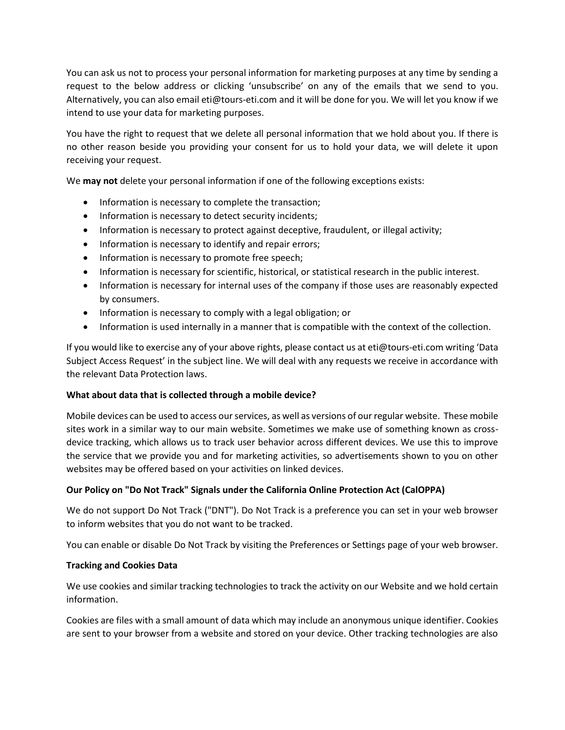You can ask us not to process your personal information for marketing purposes at any time by sending a request to the below address or clicking 'unsubscribe' on any of the emails that we send to you. Alternatively, you can also email eti@tours-eti.com and it will be done for you. We will let you know if we intend to use your data for marketing purposes.

You have the right to request that we delete all personal information that we hold about you. If there is no other reason beside you providing your consent for us to hold your data, we will delete it upon receiving your request.

We **may not** delete your personal information if one of the following exceptions exists:

- Information is necessary to complete the transaction;
- Information is necessary to detect security incidents;
- Information is necessary to protect against deceptive, fraudulent, or illegal activity;
- Information is necessary to identify and repair errors;
- Information is necessary to promote free speech;
- Information is necessary for scientific, historical, or statistical research in the public interest.
- Information is necessary for internal uses of the company if those uses are reasonably expected by consumers.
- Information is necessary to comply with a legal obligation; or
- Information is used internally in a manner that is compatible with the context of the collection.

If you would like to exercise any of your above rights, please contact us at eti@tours-eti.com writing 'Data Subject Access Request' in the subject line. We will deal with any requests we receive in accordance with the relevant Data Protection laws.

# **What about data that is collected through a mobile device?**

Mobile devices can be used to access our services, as well as versions of our regular website. These mobile sites work in a similar way to our main website. Sometimes we make use of something known as crossdevice tracking, which allows us to track user behavior across different devices. We use this to improve the service that we provide you and for marketing activities, so advertisements shown to you on other websites may be offered based on your activities on linked devices.

# **Our Policy on "Do Not Track" Signals under the California Online Protection Act (CalOPPA)**

We do not support Do Not Track ("DNT"). Do Not Track is a preference you can set in your web browser to inform websites that you do not want to be tracked.

You can enable or disable Do Not Track by visiting the Preferences or Settings page of your web browser.

## **Tracking and Cookies Data**

We use cookies and similar tracking technologies to track the activity on our Website and we hold certain information.

Cookies are files with a small amount of data which may include an anonymous unique identifier. Cookies are sent to your browser from a website and stored on your device. Other tracking technologies are also